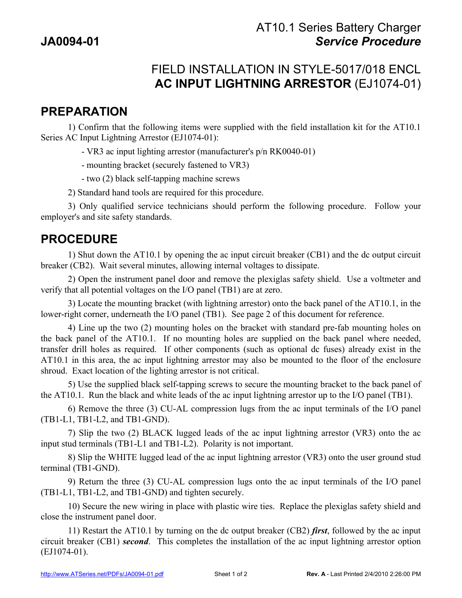## FIELD INSTALLATION IN STYLE-5017/018 ENCL **AC INPUT LIGHTNING ARRESTOR** (EJ1074-01)

## **PREPARATION**

1) Confirm that the following items were supplied with the field installation kit for the AT10.1 Series AC Input Lightning Arrestor (EJ1074-01):

- VR3 ac input lighting arrestor (manufacturer's p/n RK0040-01)

- mounting bracket (securely fastened to VR3)

- two (2) black self-tapping machine screws

2) Standard hand tools are required for this procedure.

3) Only qualified service technicians should perform the following procedure. Follow your employer's and site safety standards.

## **PROCEDURE**

1) Shut down the AT10.1 by opening the ac input circuit breaker (CB1) and the dc output circuit breaker (CB2). Wait several minutes, allowing internal voltages to dissipate.

2) Open the instrument panel door and remove the plexiglas safety shield. Use a voltmeter and verify that all potential voltages on the I/O panel (TB1) are at zero.

3) Locate the mounting bracket (with lightning arrestor) onto the back panel of the AT10.1, in the lower-right corner, underneath the I/O panel (TB1). See page 2 of this document for reference.

4) Line up the two (2) mounting holes on the bracket with standard pre-fab mounting holes on the back panel of the AT10.1. If no mounting holes are supplied on the back panel where needed, transfer drill holes as required. If other components (such as optional dc fuses) already exist in the AT10.1 in this area, the ac input lightning arrestor may also be mounted to the floor of the enclosure shroud. Exact location of the lighting arrestor is not critical.

5) Use the supplied black self-tapping screws to secure the mounting bracket to the back panel of the AT10.1. Run the black and white leads of the ac input lightning arrestor up to the I/O panel (TB1).

6) Remove the three (3) CU-AL compression lugs from the ac input terminals of the I/O panel (TB1-L1, TB1-L2, and TB1-GND).

7) Slip the two (2) BLACK lugged leads of the ac input lightning arrestor (VR3) onto the ac input stud terminals (TB1-L1 and TB1-L2). Polarity is not important.

8) Slip the WHITE lugged lead of the ac input lightning arrestor (VR3) onto the user ground stud terminal (TB1-GND).

9) Return the three (3) CU-AL compression lugs onto the ac input terminals of the I/O panel (TB1-L1, TB1-L2, and TB1-GND) and tighten securely.

10) Secure the new wiring in place with plastic wire ties. Replace the plexiglas safety shield and close the instrument panel door.

11) Restart the AT10.1 by turning on the dc output breaker (CB2) *first*, followed by the ac input circuit breaker (CB1) *second*. This completes the installation of the ac input lightning arrestor option (EJ1074-01).